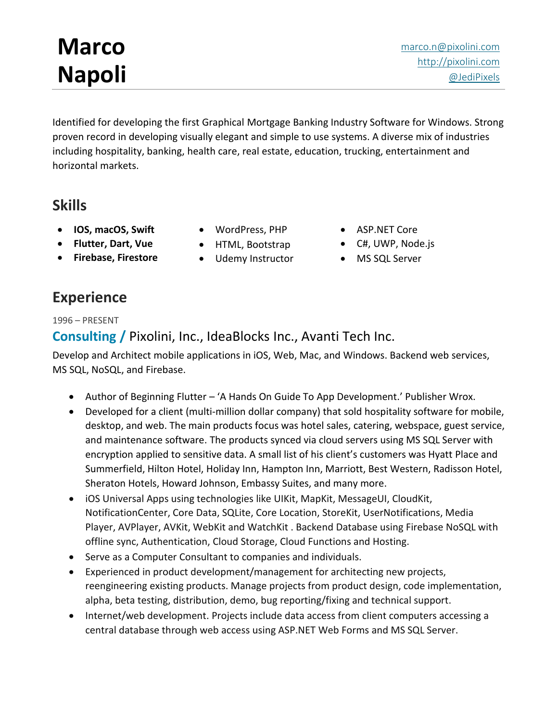# **Marco Napoli**

[marco.n@pixolini.com](mailto:marco.n@pixolini.com) [http://pixolini.com](http://pixolini.com/) [@JediPixels](https://twitter.com/JediPixels)

Identified for developing the first Graphical Mortgage Banking Industry Software for Windows. Strong proven record in developing visually elegant and simple to use systems. A diverse mix of industries including hospitality, banking, health care, real estate, education, trucking, entertainment and horizontal markets.

## **Skills**

- **IOS, macOS, Swift**
- **Flutter, Dart, Vue**
- **Firebase, Firestore**
- WordPress, PHP
- HTML, Bootstrap
- Udemy Instructor
- ASP.NET Core
- C#, UWP, Node.js
- MS SQL Server

## **Experience**

1996 – PRESENT

#### **Consulting /** Pixolini, Inc., IdeaBlocks Inc., Avanti Tech Inc.

Develop and Architect mobile applications in iOS, Web, Mac, and Windows. Backend web services, MS SQL, NoSQL, and Firebase.

- Author of Beginning Flutter 'A Hands On Guide To App Development.' Publisher Wrox.
- Developed for a client (multi-million dollar company) that sold hospitality software for mobile, desktop, and web. The main products focus was hotel sales, catering, webspace, guest service, and maintenance software. The products synced via cloud servers using MS SQL Server with encryption applied to sensitive data. A small list of his client's customers was Hyatt Place and Summerfield, Hilton Hotel, Holiday Inn, Hampton Inn, Marriott, Best Western, Radisson Hotel, Sheraton Hotels, Howard Johnson, Embassy Suites, and many more.
- iOS Universal Apps using technologies like UIKit, MapKit, MessageUI, CloudKit, NotificationCenter, Core Data, SQLite, Core Location, StoreKit, UserNotifications, Media Player, AVPlayer, AVKit, WebKit and WatchKit . Backend Database using Firebase NoSQL with offline sync, Authentication, Cloud Storage, Cloud Functions and Hosting.
- Serve as a Computer Consultant to companies and individuals.
- Experienced in product development/management for architecting new projects, reengineering existing products. Manage projects from product design, code implementation, alpha, beta testing, distribution, demo, bug reporting/fixing and technical support.
- Internet/web development. Projects include data access from client computers accessing a central database through web access using ASP.NET Web Forms and MS SQL Server.